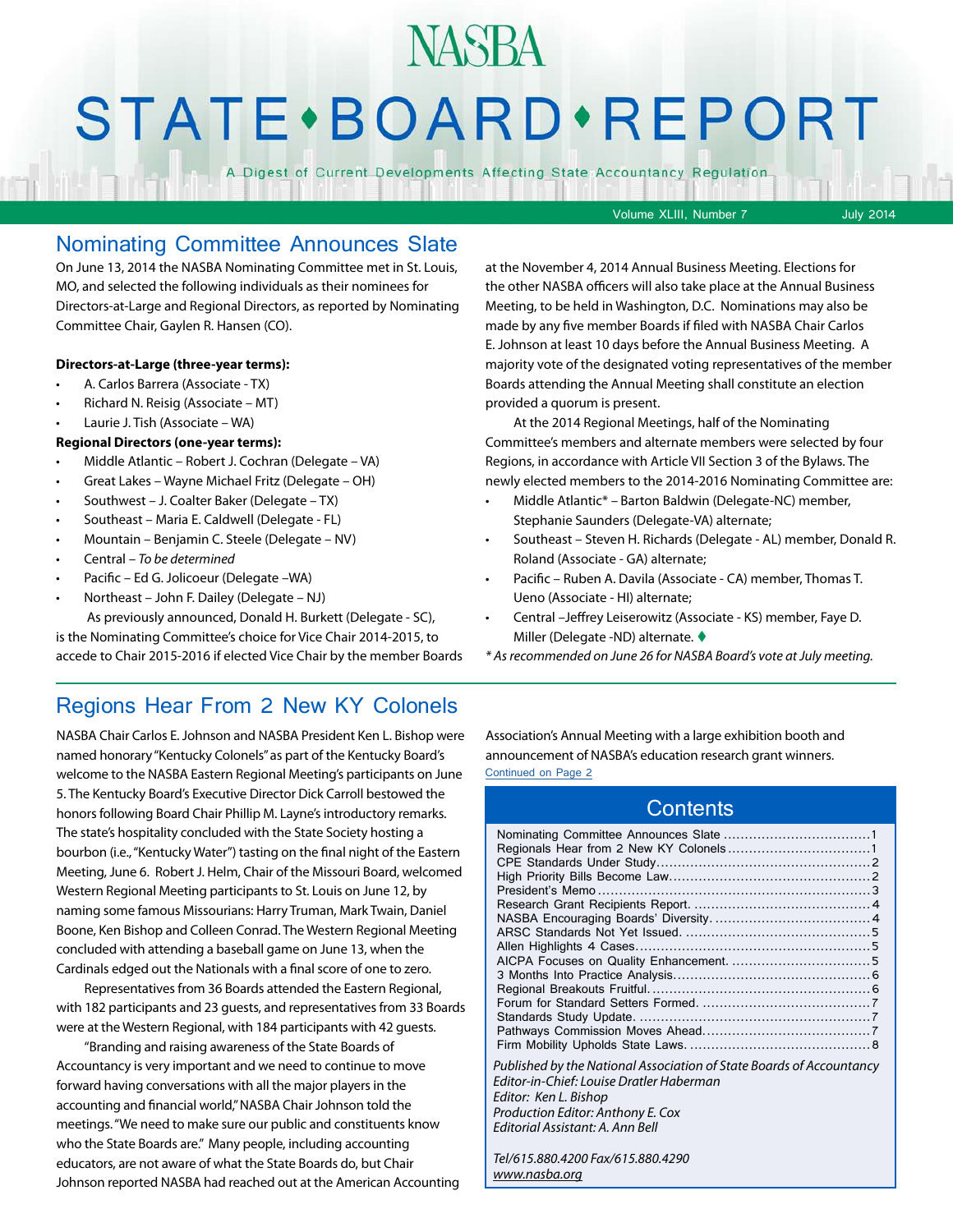## **NASBA**

## **STATE** · BOARD · REPORT

A Digest of Current Developments Affecting State Accountancy Regulation

Volume XLIII, Number 7 July 2014

#### Nominating Committee Announces Slate

On June 13, 2014 the NASBA Nominating Committee met in St. Louis, MO, and selected the following individuals as their nominees for Directors-at-Large and Regional Directors, as reported by Nominating Committee Chair, Gaylen R. Hansen (CO).

#### **Directors-at-Large (three-year terms):**

- A. Carlos Barrera (Associate TX)
- Richard N. Reisig (Associate MT)
- Laurie J. Tish (Associate WA)

#### **Regional Directors (one-year terms):**

- Middle Atlantic Robert J. Cochran (Delegate VA)
- Great Lakes Wayne Michael Fritz (Delegate OH)
- Southwest J. Coalter Baker (Delegate TX)
- Southeast Maria E. Caldwell (Delegate FL)
- Mountain Benjamin C. Steele (Delegate NV)
- Central – *To be determined*
- Pacific Ed G. Jolicoeur (Delegate –WA)
- Northeast John F. Dailey (Delegate NJ)
- As previously announced, Donald H. Burkett (Delegate SC),

is the Nominating Committee's choice for Vice Chair 2014-2015, to accede to Chair 2015-2016 if elected Vice Chair by the member Boards at the November 4, 2014 Annual Business Meeting. Elections for the other NASBA officers will also take place at the Annual Business Meeting, to be held in Washington, D.C. Nominations may also be made by any five member Boards if filed with NASBA Chair Carlos E. Johnson at least 10 days before the Annual Business Meeting. A majority vote of the designated voting representatives of the member Boards attending the Annual Meeting shall constitute an election provided a quorum is present.

At the 2014 Regional Meetings, half of the Nominating Committee's members and alternate members were selected by four Regions, in accordance with Article VII Section 3 of the Bylaws. The newly elected members to the 2014-2016 Nominating Committee are:

- Middle Atlantic\* Barton Baldwin (Delegate-NC) member, Stephanie Saunders (Delegate-VA) alternate;
- Southeast Steven H. Richards (Delegate AL) member, Donald R. Roland (Associate - GA) alternate;
- Pacific Ruben A. Davila (Associate CA) member, Thomas T. Ueno (Associate - HI) alternate;
- Central –Jeffrey Leiserowitz (Associate KS) member, Faye D. Miller (Delegate -ND) alternate.  $\blacklozenge$
- *\* As recommended on June 26 for NASBA Board's vote at July meeting.*

#### Regions Hear From 2 New KY Colonels

NASBA Chair Carlos E. Johnson and NASBA President Ken L. Bishop were named honorary "Kentucky Colonels" as part of the Kentucky Board's welcome to the NASBA Eastern Regional Meeting's participants on June 5. The Kentucky Board's Executive Director Dick Carroll bestowed the honors following Board Chair Phillip M. Layne's introductory remarks. The state's hospitality concluded with the State Society hosting a bourbon (i.e., "Kentucky Water") tasting on the final night of the Eastern Meeting, June 6. Robert J. Helm, Chair of the Missouri Board, welcomed Western Regional Meeting participants to St. Louis on June 12, by naming some famous Missourians: Harry Truman, Mark Twain, Daniel Boone, Ken Bishop and Colleen Conrad. The Western Regional Meeting concluded with attending a baseball game on June 13, when the Cardinals edged out the Nationals with a final score of one to zero.

Representatives from 36 Boards attended the Eastern Regional, with 182 participants and 23 guests, and representatives from 33 Boards were at the Western Regional, with 184 participants with 42 guests.

"Branding and raising awareness of the State Boards of Accountancy is very important and we need to continue to move forward having conversations with all the major players in the accounting and financial world," NASBA Chair Johnson told the meetings. "We need to make sure our public and constituents know who the State Boards are." Many people, including accounting educators, are not aware of what the State Boards do, but Chair Johnson reported NASBA had reached out at the American Accounting Association's Annual Meeting with a large exhibition booth and announcement of NASBA's education research grant winners. Continued on Page 2

#### **Contents**

| Published by the National Association of State Boards of Accountancy |  |
|----------------------------------------------------------------------|--|
| Editor-in-Chief: Louise Dratler Haberman                             |  |
| Editor: Ken L. Bishop                                                |  |
| Production Editor: Anthony E. Cox                                    |  |
| Editorial Assistant: A. Ann Bell                                     |  |
| Tel/615.880.4200 Fax/615.880.4290                                    |  |

*[www.nasba.org](http://www.nasba.org)*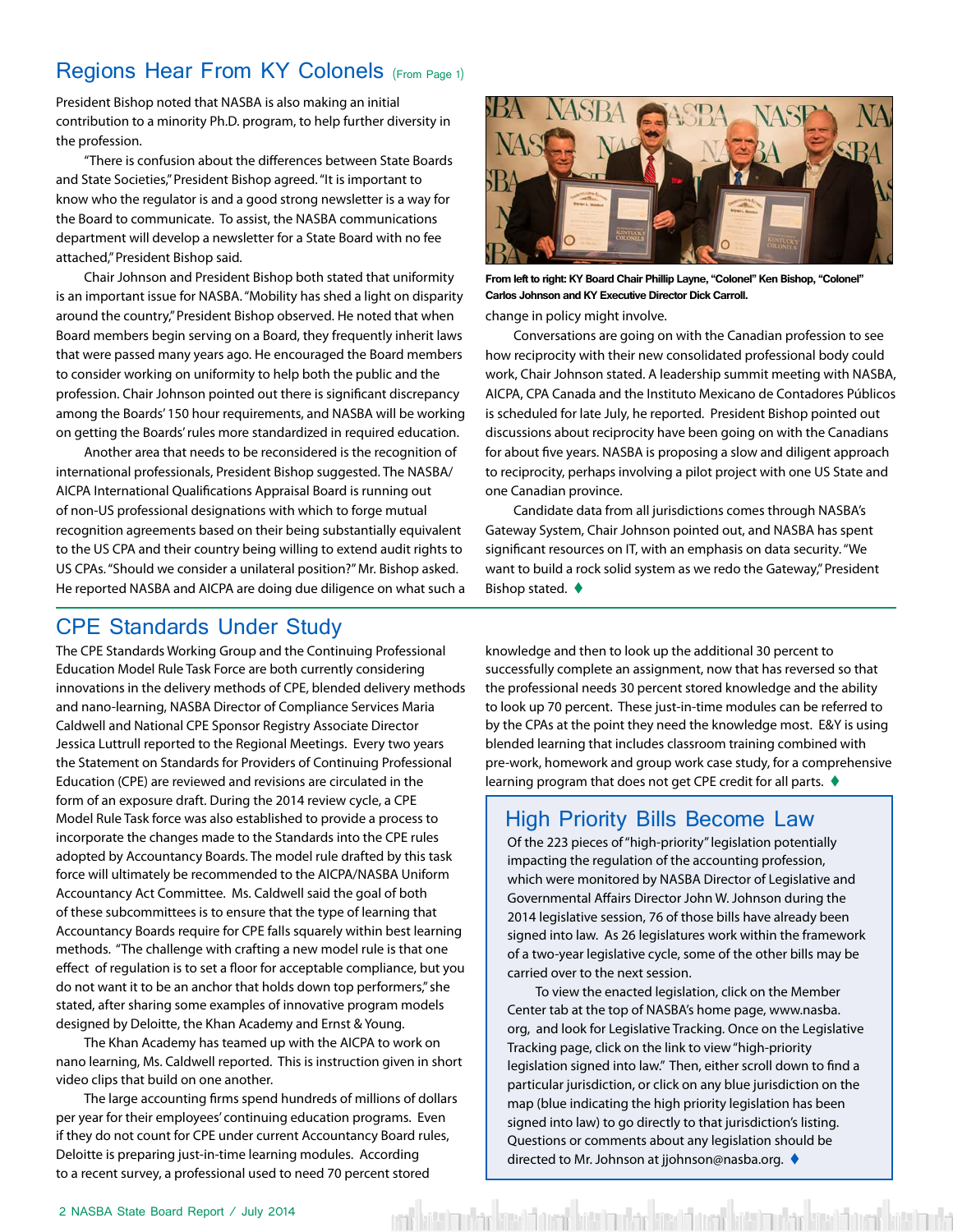#### <span id="page-1-0"></span>Regions Hear From KY Colonels (From Page 1)

President Bishop noted that NASBA is also making an initial contribution to a minority Ph.D. program, to help further diversity in the profession.

"There is confusion about the differences between State Boards and State Societies," President Bishop agreed. "It is important to know who the regulator is and a good strong newsletter is a way for the Board to communicate. To assist, the NASBA communications department will develop a newsletter for a State Board with no fee attached," President Bishop said.

Chair Johnson and President Bishop both stated that uniformity is an important issue for NASBA. "Mobility has shed a light on disparity around the country," President Bishop observed. He noted that when Board members begin serving on a Board, they frequently inherit laws that were passed many years ago. He encouraged the Board members to consider working on uniformity to help both the public and the profession. Chair Johnson pointed out there is significant discrepancy among the Boards' 150 hour requirements, and NASBA will be working on getting the Boards' rules more standardized in required education.

Another area that needs to be reconsidered is the recognition of international professionals, President Bishop suggested. The NASBA/ AICPA International Qualifications Appraisal Board is running out of non-US professional designations with which to forge mutual recognition agreements based on their being substantially equivalent to the US CPA and their country being willing to extend audit rights to US CPAs. "Should we consider a unilateral position?" Mr. Bishop asked. He reported NASBA and AICPA are doing due diligence on what such a



change in policy might involve. **From left to right: KY Board Chair Phillip Layne, "Colonel" Ken Bishop, "Colonel" Carlos Johnson and KY Executive Director Dick Carroll.** 

Conversations are going on with the Canadian profession to see how reciprocity with their new consolidated professional body could work, Chair Johnson stated. A leadership summit meeting with NASBA, AICPA, CPA Canada and the Instituto Mexicano de Contadores Públicos is scheduled for late July, he reported. President Bishop pointed out discussions about reciprocity have been going on with the Canadians for about five years. NASBA is proposing a slow and diligent approach to reciprocity, perhaps involving a pilot project with one US State and one Canadian province.

Candidate data from all jurisdictions comes through NASBA's Gateway System, Chair Johnson pointed out, and NASBA has spent significant resources on IT, with an emphasis on data security. "We want to build a rock solid system as we redo the Gateway," President Bishop stated.  $\blacklozenge$ 

#### CPE Standards Under Study

The CPE Standards Working Group and the Continuing Professional Education Model Rule Task Force are both currently considering innovations in the delivery methods of CPE, blended delivery methods and nano-learning, NASBA Director of Compliance Services Maria Caldwell and National CPE Sponsor Registry Associate Director Jessica Luttrull reported to the Regional Meetings. Every two years the Statement on Standards for Providers of Continuing Professional Education (CPE) are reviewed and revisions are circulated in the form of an exposure draft. During the 2014 review cycle, a CPE Model Rule Task force was also established to provide a process to incorporate the changes made to the Standards into the CPE rules adopted by Accountancy Boards. The model rule drafted by this task force will ultimately be recommended to the AICPA/NASBA Uniform Accountancy Act Committee. Ms. Caldwell said the goal of both of these subcommittees is to ensure that the type of learning that Accountancy Boards require for CPE falls squarely within best learning methods. "The challenge with crafting a new model rule is that one effect of regulation is to set a floor for acceptable compliance, but you do not want it to be an anchor that holds down top performers," she stated, after sharing some examples of innovative program models designed by Deloitte, the Khan Academy and Ernst & Young.

The Khan Academy has teamed up with the AICPA to work on nano learning, Ms. Caldwell reported. This is instruction given in short video clips that build on one another.

The large accounting firms spend hundreds of millions of dollars per year for their employees' continuing education programs. Even if they do not count for CPE under current Accountancy Board rules, Deloitte is preparing just-in-time learning modules. According to a recent survey, a professional used to need 70 percent stored

knowledge and then to look up the additional 30 percent to successfully complete an assignment, now that has reversed so that the professional needs 30 percent stored knowledge and the ability to look up 70 percent. These just-in-time modules can be referred to by the CPAs at the point they need the knowledge most. E&Y is using blended learning that includes classroom training combined with pre-work, homework and group work case study, for a comprehensive learning program that does not get CPE credit for all parts.  $\blacklozenge$ 

#### High Priority Bills Become Law

Of the 223 pieces of "high-priority" legislation potentially impacting the regulation of the accounting profession, which were monitored by NASBA Director of Legislative and Governmental Affairs Director John W. Johnson during the 2014 legislative session, 76 of those bills have already been signed into law. As 26 legislatures work within the framework of a two-year legislative cycle, some of the other bills may be carried over to the next session.

To view the enacted legislation, click on the Member Center tab at the top of NASBA's home page, www.nasba. org, and look for Legislative Tracking. Once on the Legislative Tracking page, click on the link to view "high-priority legislation signed into law." Then, either scroll down to find a particular jurisdiction, or click on any blue jurisdiction on the map (blue indicating the high priority legislation has been signed into law) to go directly to that jurisdiction's listing. Questions or comments about any legislation should be directed to Mr. Johnson at jjohnson@nasba.org. ♦

hita ber sedi uni hitab da

rhe seddina bit bor<mark></mark>d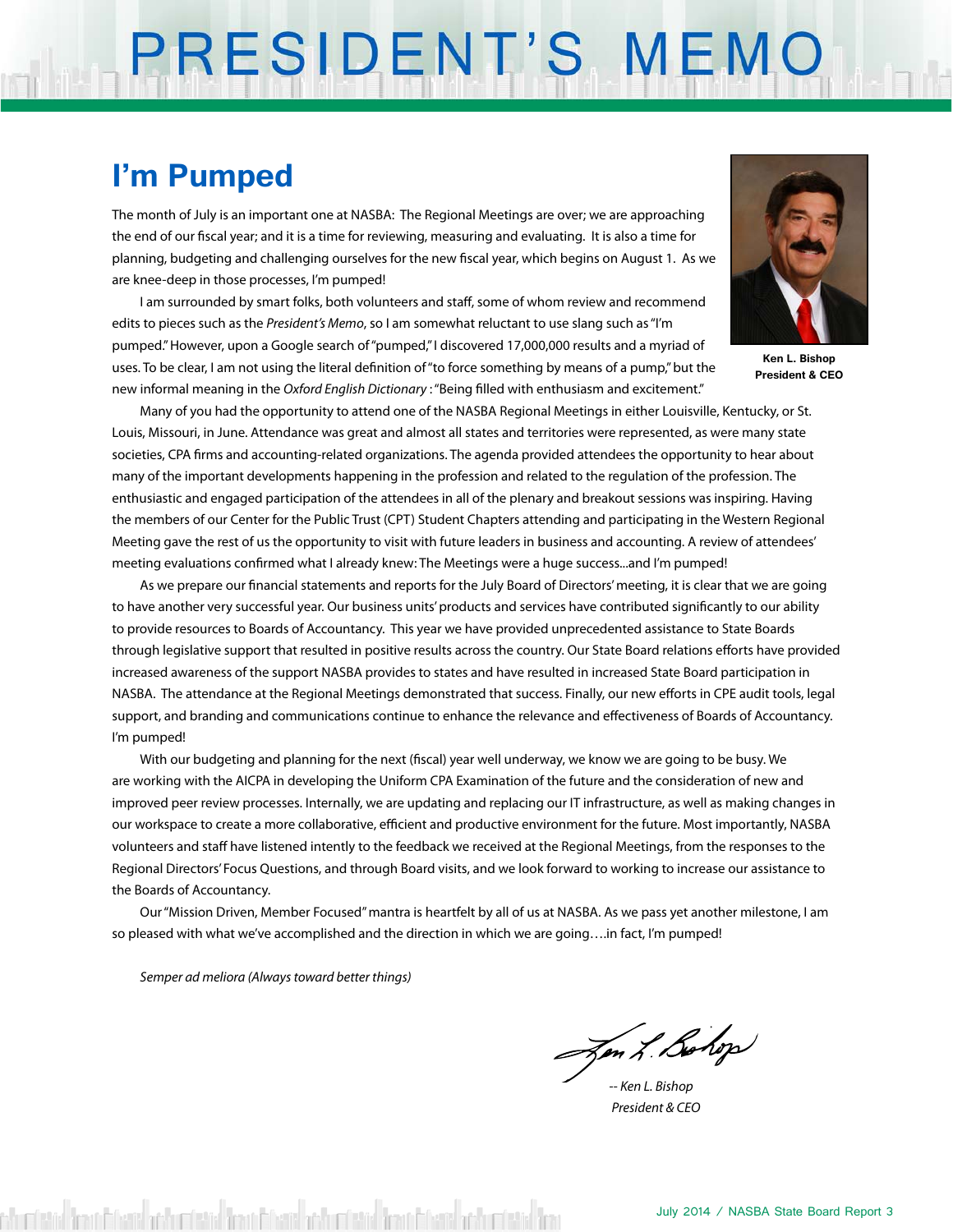# PRESIDENT'S MEMO

#### **I'm Pumped**

The month of July is an important one at NASBA: The Regional Meetings are over; we are approaching the end of our fiscal year; and it is a time for reviewing, measuring and evaluating. It is also a time for planning, budgeting and challenging ourselves for the new fiscal year, which begins on August 1. As we are knee-deep in those processes, I'm pumped!

I am surrounded by smart folks, both volunteers and staff, some of whom review and recommend edits to pieces such as the *President's Memo*, so I am somewhat reluctant to use slang such as "I'm pumped." However, upon a Google search of "pumped," I discovered 17,000,000 results and a myriad of uses. To be clear, I am not using the literal definition of "to force something by means of a pump," but the new informal meaning in the *Oxford English Dictionary* : "Being filled with enthusiasm and excitement."



**Ken L. Bishop President & CEO**

Many of you had the opportunity to attend one of the NASBA Regional Meetings in either Louisville, Kentucky, or St. Louis, Missouri, in June. Attendance was great and almost all states and territories were represented, as were many state societies, CPA firms and accounting-related organizations. The agenda provided attendees the opportunity to hear about many of the important developments happening in the profession and related to the regulation of the profession. The enthusiastic and engaged participation of the attendees in all of the plenary and breakout sessions was inspiring. Having the members of our Center for the Public Trust (CPT) Student Chapters attending and participating in the Western Regional Meeting gave the rest of us the opportunity to visit with future leaders in business and accounting. A review of attendees' meeting evaluations confirmed what I already knew: The Meetings were a huge success...and I'm pumped!

As we prepare our financial statements and reports for the July Board of Directors' meeting, it is clear that we are going to have another very successful year. Our business units' products and services have contributed significantly to our ability to provide resources to Boards of Accountancy. This year we have provided unprecedented assistance to State Boards through legislative support that resulted in positive results across the country. Our State Board relations efforts have provided increased awareness of the support NASBA provides to states and have resulted in increased State Board participation in NASBA. The attendance at the Regional Meetings demonstrated that success. Finally, our new efforts in CPE audit tools, legal support, and branding and communications continue to enhance the relevance and effectiveness of Boards of Accountancy. I'm pumped!

With our budgeting and planning for the next (fiscal) year well underway, we know we are going to be busy. We are working with the AICPA in developing the Uniform CPA Examination of the future and the consideration of new and improved peer review processes. Internally, we are updating and replacing our IT infrastructure, as well as making changes in our workspace to create a more collaborative, efficient and productive environment for the future. Most importantly, NASBA volunteers and staff have listened intently to the feedback we received at the Regional Meetings, from the responses to the Regional Directors' Focus Questions, and through Board visits, and we look forward to working to increase our assistance to the Boards of Accountancy.

Our "Mission Driven, Member Focused" mantra is heartfelt by all of us at NASBA. As we pass yet another milestone, I am so pleased with what we've accomplished and the direction in which we are going....in fact, I'm pumped!

*Semper ad meliora (Always toward better things)*

Jen L. Bohop

*-- Ken L. Bishop President & CEO*

district from Edward adductistical from Edward adductistical from Edward adductistical fro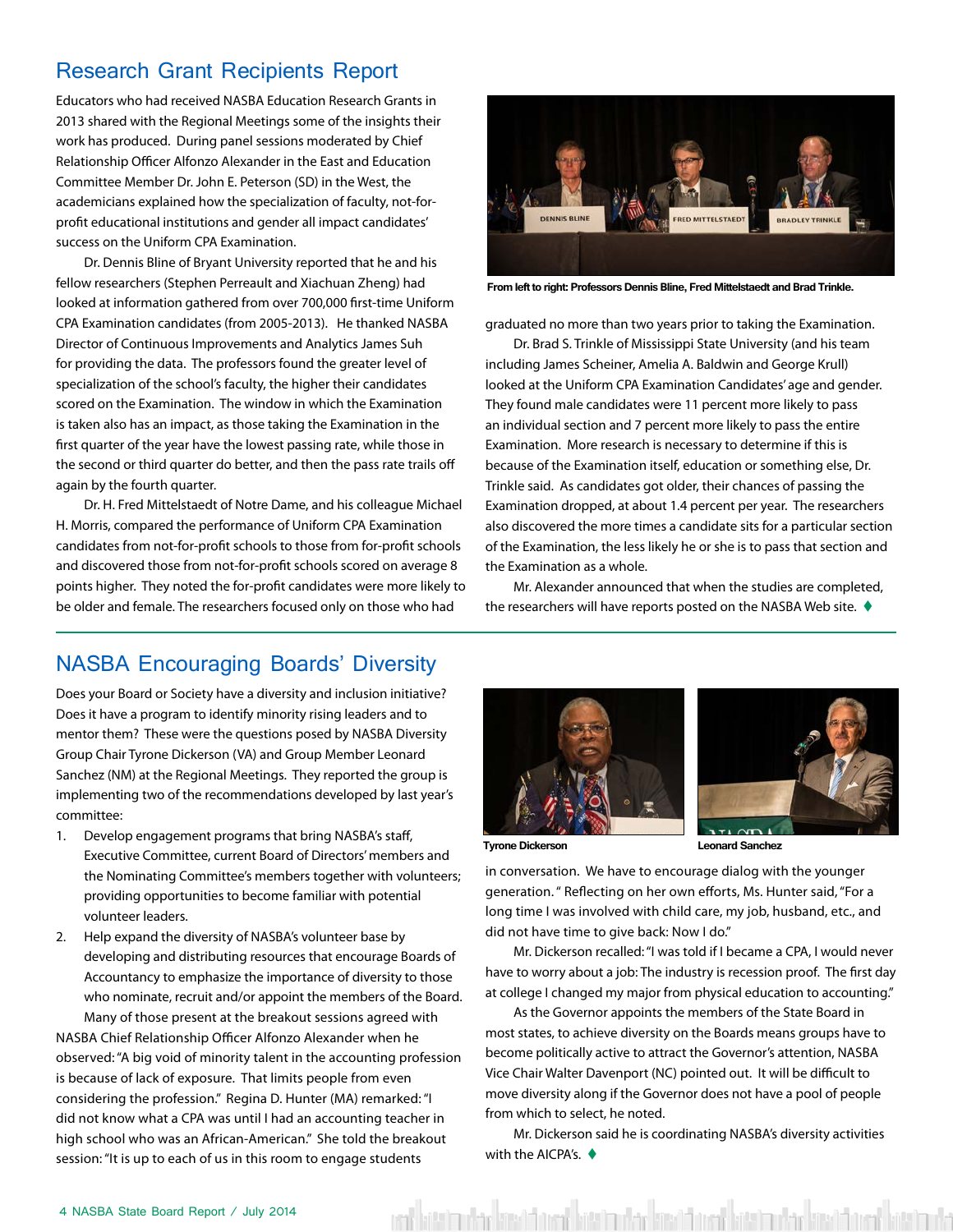#### <span id="page-3-0"></span>Research Grant Recipients Report

Educators who had received NASBA Education Research Grants in 2013 shared with the Regional Meetings some of the insights their work has produced. During panel sessions moderated by Chief Relationship Officer Alfonzo Alexander in the East and Education Committee Member Dr. John E. Peterson (SD) in the West, the academicians explained how the specialization of faculty, not-forprofit educational institutions and gender all impact candidates' success on the Uniform CPA Examination.

Dr. Dennis Bline of Bryant University reported that he and his fellow researchers (Stephen Perreault and Xiachuan Zheng) had looked at information gathered from over 700,000 first-time Uniform CPA Examination candidates (from 2005-2013). He thanked NASBA Director of Continuous Improvements and Analytics James Suh for providing the data. The professors found the greater level of specialization of the school's faculty, the higher their candidates scored on the Examination. The window in which the Examination is taken also has an impact, as those taking the Examination in the first quarter of the year have the lowest passing rate, while those in the second or third quarter do better, and then the pass rate trails off again by the fourth quarter.

Dr. H. Fred Mittelstaedt of Notre Dame, and his colleague Michael H. Morris, compared the performance of Uniform CPA Examination candidates from not-for-profit schools to those from for-profit schools and discovered those from not-for-profit schools scored on average 8 points higher. They noted the for-profit candidates were more likely to be older and female. The researchers focused only on those who had



**From left to right: Professors Dennis Bline, Fred Mittelstaedt and Brad Trinkle.**

graduated no more than two years prior to taking the Examination.

Dr. Brad S. Trinkle of Mississippi State University (and his team including James Scheiner, Amelia A. Baldwin and George Krull) looked at the Uniform CPA Examination Candidates' age and gender. They found male candidates were 11 percent more likely to pass an individual section and 7 percent more likely to pass the entire Examination. More research is necessary to determine if this is because of the Examination itself, education or something else, Dr. Trinkle said. As candidates got older, their chances of passing the Examination dropped, at about 1.4 percent per year. The researchers also discovered the more times a candidate sits for a particular section of the Examination, the less likely he or she is to pass that section and the Examination as a whole.

Mr. Alexander announced that when the studies are completed, the researchers will have reports posted on the NASBA Web site.  $\blacklozenge$ 

#### NASBA Encouraging Boards' Diversity

Does your Board or Society have a diversity and inclusion initiative? Does it have a program to identify minority rising leaders and to mentor them? These were the questions posed by NASBA Diversity Group Chair Tyrone Dickerson (VA) and Group Member Leonard Sanchez (NM) at the Regional Meetings. They reported the group is implementing two of the recommendations developed by last year's committee:

- 1. Develop engagement programs that bring NASBA's staff, Executive Committee, current Board of Directors' members and the Nominating Committee's members together with volunteers; providing opportunities to become familiar with potential volunteer leaders.
- 2. Help expand the diversity of NASBA's volunteer base by developing and distributing resources that encourage Boards of Accountancy to emphasize the importance of diversity to those who nominate, recruit and/or appoint the members of the Board. Many of those present at the breakout sessions agreed with NASBA Chief Relationship Officer Alfonzo Alexander when he observed: "A big void of minority talent in the accounting profession is because of lack of exposure. That limits people from even

considering the profession." Regina D. Hunter (MA) remarked: "I did not know what a CPA was until I had an accounting teacher in high school who was an African-American." She told the breakout session: "It is up to each of us in this room to engage students





**Tyrone Dickerson Leonard Sanchez**

in conversation. We have to encourage dialog with the younger generation. " Reflecting on her own efforts, Ms. Hunter said, "For a long time I was involved with child care, my job, husband, etc., and did not have time to give back: Now I do."

Mr. Dickerson recalled: "I was told if I became a CPA, I would never have to worry about a job: The industry is recession proof. The first day at college I changed my major from physical education to accounting."

As the Governor appoints the members of the State Board in most states, to achieve diversity on the Boards means groups have to become politically active to attract the Governor's attention, NASBA Vice Chair Walter Davenport (NC) pointed out. It will be difficult to move diversity along if the Governor does not have a pool of people from which to select, he noted.

Mr. Dickerson said he is coordinating NASBA's diversity activities with the AICPA's.  $\blacklozenge$ 

ata ba kata kita da kata da kasa bara kata da kata da kasa kata kata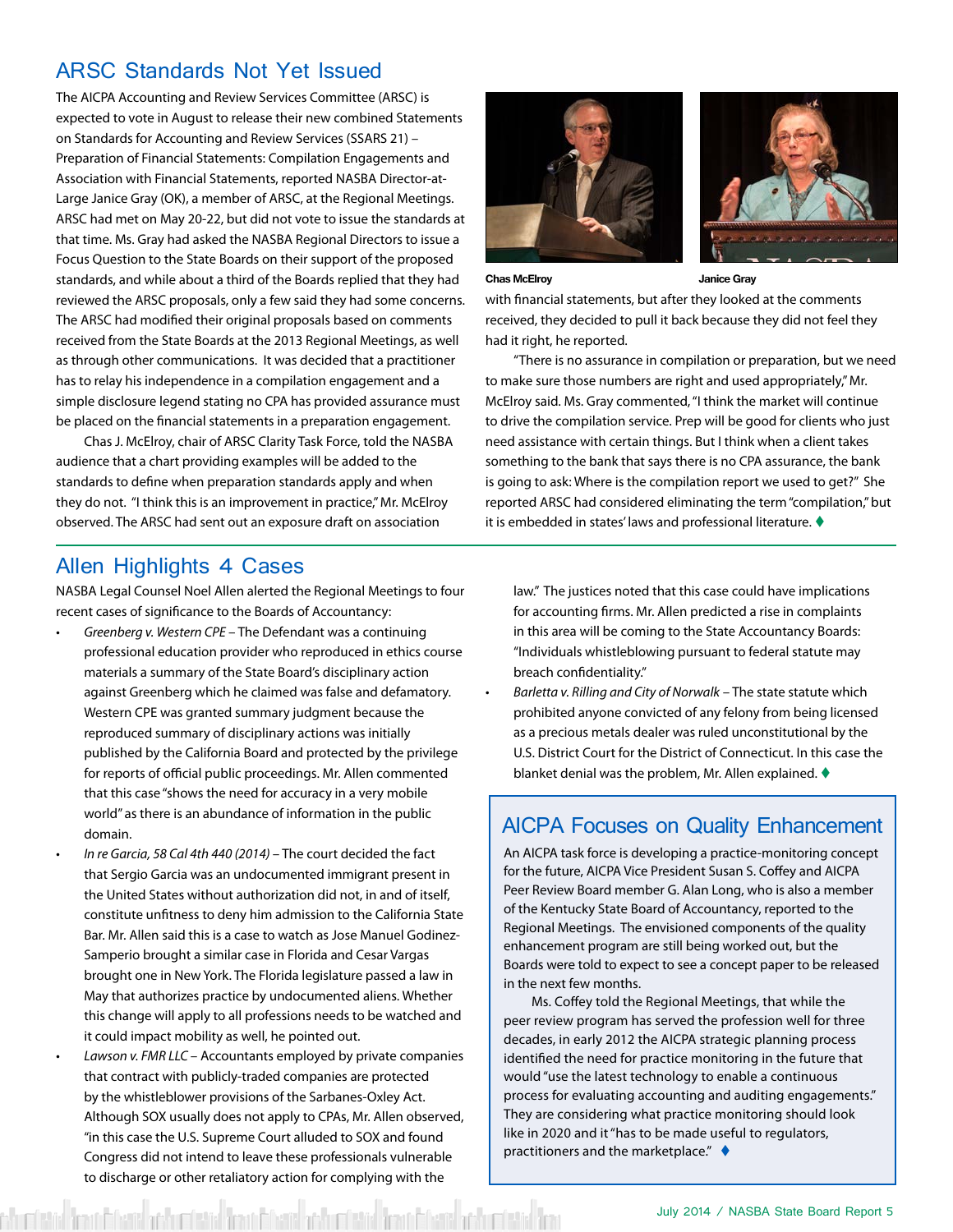#### <span id="page-4-0"></span>ARSC Standards Not Yet Issued

The AICPA Accounting and Review Services Committee (ARSC) is expected to vote in August to release their new combined Statements on Standards for Accounting and Review Services (SSARS 21) – Preparation of Financial Statements: Compilation Engagements and Association with Financial Statements, reported NASBA Director-at-Large Janice Gray (OK), a member of ARSC, at the Regional Meetings. ARSC had met on May 20-22, but did not vote to issue the standards at that time. Ms. Gray had asked the NASBA Regional Directors to issue a Focus Question to the State Boards on their support of the proposed standards, and while about a third of the Boards replied that they had reviewed the ARSC proposals, only a few said they had some concerns. The ARSC had modified their original proposals based on comments received from the State Boards at the 2013 Regional Meetings, as well as through other communications. It was decided that a practitioner has to relay his independence in a compilation engagement and a simple disclosure legend stating no CPA has provided assurance must be placed on the financial statements in a preparation engagement.

Chas J. McElroy, chair of ARSC Clarity Task Force, told the NASBA audience that a chart providing examples will be added to the standards to define when preparation standards apply and when they do not. "I think this is an improvement in practice," Mr. McElroy observed. The ARSC had sent out an exposure draft on association





**Chas McElroy Janice Gray**

with financial statements, but after they looked at the comments received, they decided to pull it back because they did not feel they had it right, he reported.

"There is no assurance in compilation or preparation, but we need to make sure those numbers are right and used appropriately," Mr. McElroy said. Ms. Gray commented, "I think the market will continue to drive the compilation service. Prep will be good for clients who just need assistance with certain things. But I think when a client takes something to the bank that says there is no CPA assurance, the bank is going to ask: Where is the compilation report we used to get?" She reported ARSC had considered eliminating the term "compilation," but it is embedded in states' laws and professional literature.  $\blacklozenge$ 

#### Allen Highlights 4 Cases

NASBA Legal Counsel Noel Allen alerted the Regional Meetings to four recent cases of significance to the Boards of Accountancy:

- *• Greenberg v. Western CPE*  The Defendant was a continuing professional education provider who reproduced in ethics course materials a summary of the State Board's disciplinary action against Greenberg which he claimed was false and defamatory. Western CPE was granted summary judgment because the reproduced summary of disciplinary actions was initially published by the California Board and protected by the privilege for reports of official public proceedings. Mr. Allen commented that this case "shows the need for accuracy in a very mobile world" as there is an abundance of information in the public domain.
- *• In re Garcia, 58 Cal 4th 440 (2014)*  The court decided the fact that Sergio Garcia was an undocumented immigrant present in the United States without authorization did not, in and of itself, constitute unfitness to deny him admission to the California State Bar. Mr. Allen said this is a case to watch as Jose Manuel Godinez-Samperio brought a similar case in Florida and Cesar Vargas brought one in New York. The Florida legislature passed a law in May that authorizes practice by undocumented aliens. Whether this change will apply to all professions needs to be watched and it could impact mobility as well, he pointed out.
- *• Lawson v. FMR LLC*  Accountants employed by private companies that contract with publicly-traded companies are protected by the whistleblower provisions of the Sarbanes-Oxley Act. Although SOX usually does not apply to CPAs, Mr. Allen observed, "in this case the U.S. Supreme Court alluded to SOX and found Congress did not intend to leave these professionals vulnerable to discharge or other retaliatory action for complying with the

law." The justices noted that this case could have implications for accounting firms. Mr. Allen predicted a rise in complaints in this area will be coming to the State Accountancy Boards: "Individuals whistleblowing pursuant to federal statute may breach confidentiality."

*• Barletta v. Rilling and City of Norwalk* – The state statute which prohibited anyone convicted of any felony from being licensed as a precious metals dealer was ruled unconstitutional by the U.S. District Court for the District of Connecticut. In this case the blanket denial was the problem, Mr. Allen explained.  $\blacklozenge$ 

#### AICPA Focuses on Quality Enhancement

An AICPA task force is developing a practice-monitoring concept for the future, AICPA Vice President Susan S. Coffey and AICPA Peer Review Board member G. Alan Long, who is also a member of the Kentucky State Board of Accountancy, reported to the Regional Meetings. The envisioned components of the quality enhancement program are still being worked out, but the Boards were told to expect to see a concept paper to be released in the next few months.

Ms. Coffey told the Regional Meetings, that while the peer review program has served the profession well for three decades, in early 2012 the AICPA strategic planning process identified the need for practice monitoring in the future that would "use the latest technology to enable a continuous process for evaluating accounting and auditing engagements." They are considering what practice monitoring should look like in 2020 and it "has to be made useful to regulators, practitioners and the marketplace."  $\triangleleft$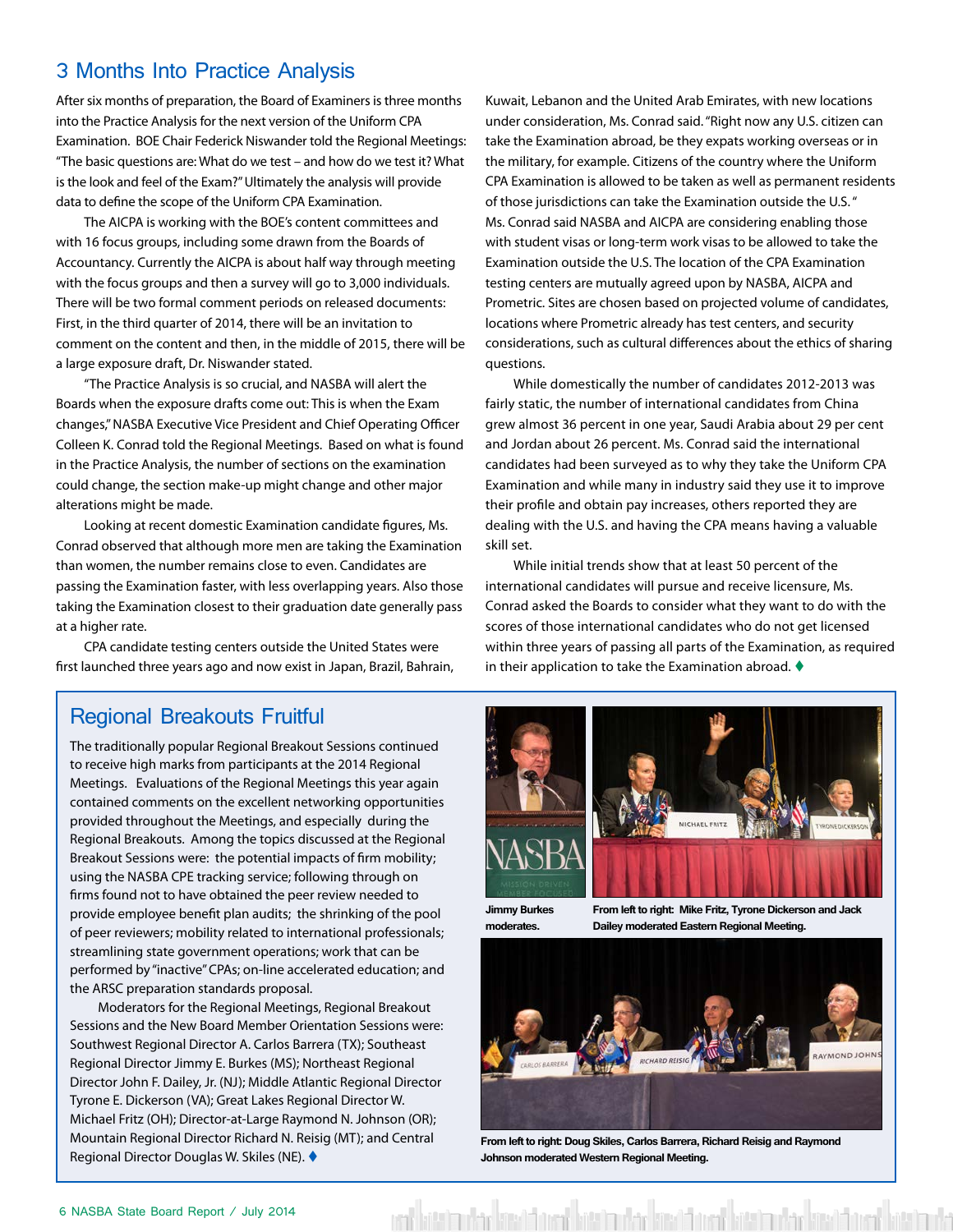#### <span id="page-5-0"></span>3 Months Into Practice Analysis

After six months of preparation, the Board of Examiners is three months into the Practice Analysis for the next version of the Uniform CPA Examination. BOE Chair Federick Niswander told the Regional Meetings: "The basic questions are: What do we test – and how do we test it? What is the look and feel of the Exam?" Ultimately the analysis will provide data to define the scope of the Uniform CPA Examination.

The AICPA is working with the BOE's content committees and with 16 focus groups, including some drawn from the Boards of Accountancy. Currently the AICPA is about half way through meeting with the focus groups and then a survey will go to 3,000 individuals. There will be two formal comment periods on released documents: First, in the third quarter of 2014, there will be an invitation to comment on the content and then, in the middle of 2015, there will be a large exposure draft, Dr. Niswander stated.

"The Practice Analysis is so crucial, and NASBA will alert the Boards when the exposure drafts come out: This is when the Exam changes," NASBA Executive Vice President and Chief Operating Officer Colleen K. Conrad told the Regional Meetings. Based on what is found in the Practice Analysis, the number of sections on the examination could change, the section make-up might change and other major alterations might be made.

Looking at recent domestic Examination candidate figures, Ms. Conrad observed that although more men are taking the Examination than women, the number remains close to even. Candidates are passing the Examination faster, with less overlapping years. Also those taking the Examination closest to their graduation date generally pass at a higher rate.

CPA candidate testing centers outside the United States were first launched three years ago and now exist in Japan, Brazil, Bahrain,

#### Regional Breakouts Fruitful

The traditionally popular Regional Breakout Sessions continued to receive high marks from participants at the 2014 Regional Meetings. Evaluations of the Regional Meetings this year again contained comments on the excellent networking opportunities provided throughout the Meetings, and especially during the Regional Breakouts. Among the topics discussed at the Regional Breakout Sessions were: the potential impacts of firm mobility; using the NASBA CPE tracking service; following through on firms found not to have obtained the peer review needed to provide employee benefit plan audits; the shrinking of the pool of peer reviewers; mobility related to international professionals; streamlining state government operations; work that can be performed by "inactive" CPAs; on-line accelerated education; and the ARSC preparation standards proposal.

Moderators for the Regional Meetings, Regional Breakout Sessions and the New Board Member Orientation Sessions were: Southwest Regional Director A. Carlos Barrera (TX); Southeast Regional Director Jimmy E. Burkes (MS); Northeast Regional Director John F. Dailey, Jr. (NJ); Middle Atlantic Regional Director Tyrone E. Dickerson (VA); Great Lakes Regional Director W. Michael Fritz (OH); Director-at-Large Raymond N. Johnson (OR); Mountain Regional Director Richard N. Reisig (MT); and Central Regional Director Douglas W. Skiles (NE). ♦

Kuwait, Lebanon and the United Arab Emirates, with new locations under consideration, Ms. Conrad said. "Right now any U.S. citizen can take the Examination abroad, be they expats working overseas or in the military, for example. Citizens of the country where the Uniform CPA Examination is allowed to be taken as well as permanent residents of those jurisdictions can take the Examination outside the U.S. " Ms. Conrad said NASBA and AICPA are considering enabling those with student visas or long-term work visas to be allowed to take the Examination outside the U.S. The location of the CPA Examination testing centers are mutually agreed upon by NASBA, AICPA and Prometric. Sites are chosen based on projected volume of candidates, locations where Prometric already has test centers, and security considerations, such as cultural differences about the ethics of sharing questions.

While domestically the number of candidates 2012-2013 was fairly static, the number of international candidates from China grew almost 36 percent in one year, Saudi Arabia about 29 per cent and Jordan about 26 percent. Ms. Conrad said the international candidates had been surveyed as to why they take the Uniform CPA Examination and while many in industry said they use it to improve their profile and obtain pay increases, others reported they are dealing with the U.S. and having the CPA means having a valuable skill set.

While initial trends show that at least 50 percent of the international candidates will pursue and receive licensure, Ms. Conrad asked the Boards to consider what they want to do with the scores of those international candidates who do not get licensed within three years of passing all parts of the Examination, as required in their application to take the Examination abroad.  $\blacklozenge$ 



**Jimmy Burkes moderates.**

**From left to right: Mike Fritz, Tyrone Dickerson and Jack Dailey moderated Eastern Regional Meeting.**



**From left to right: Doug Skiles, Carlos Barrera, Richard Reisig and Raymond Johnson moderated Western Regional Meeting.**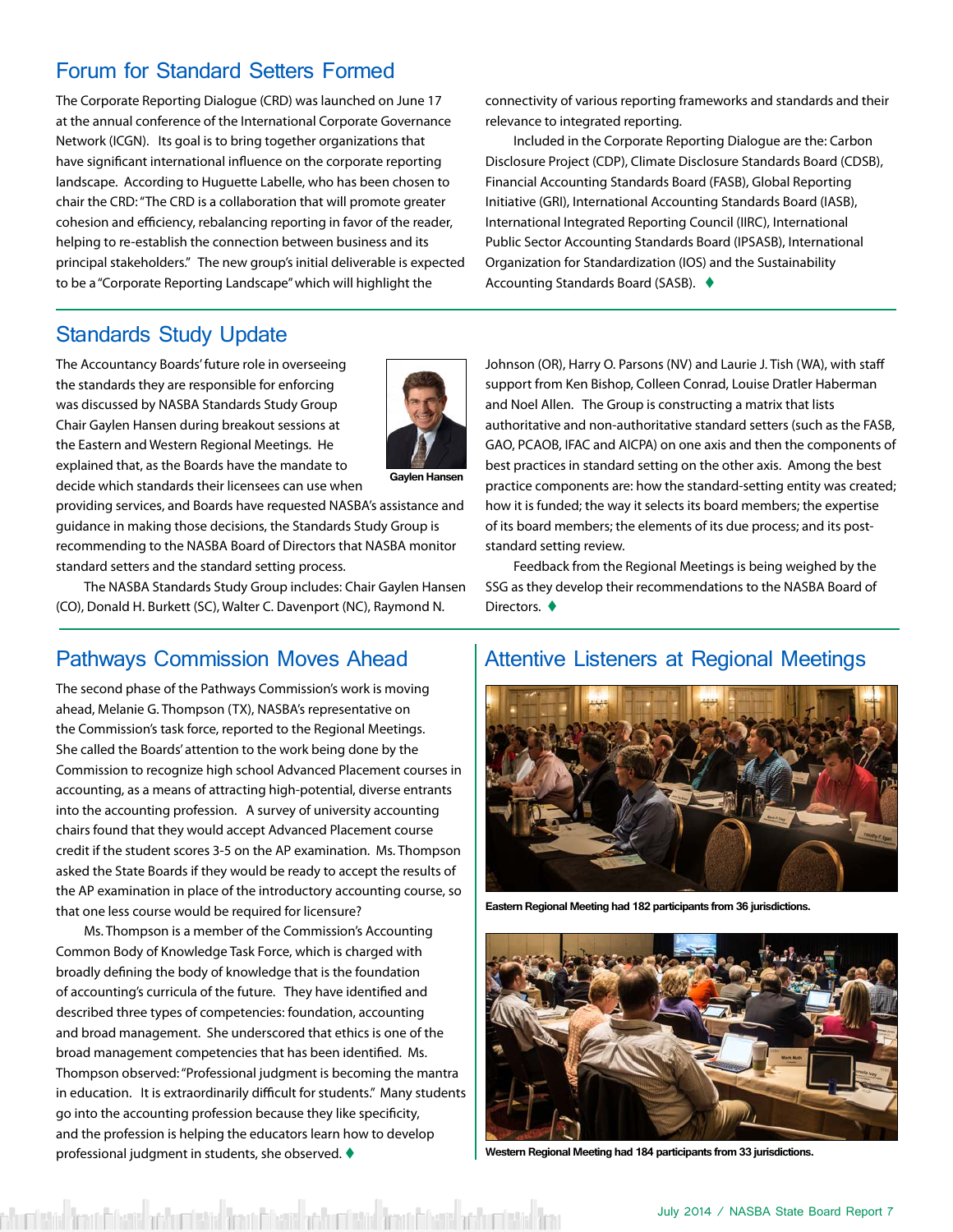#### <span id="page-6-0"></span>Forum for Standard Setters Formed

The Corporate Reporting Dialogue (CRD) was launched on June 17 at the annual conference of the International Corporate Governance Network (ICGN). Its goal is to bring together organizations that have significant international influence on the corporate reporting landscape. According to Huguette Labelle, who has been chosen to chair the CRD: "The CRD is a collaboration that will promote greater cohesion and efficiency, rebalancing reporting in favor of the reader, helping to re-establish the connection between business and its principal stakeholders." The new group's initial deliverable is expected to be a "Corporate Reporting Landscape" which will highlight the

connectivity of various reporting frameworks and standards and their relevance to integrated reporting.

Included in the Corporate Reporting Dialogue are the: Carbon Disclosure Project (CDP), Climate Disclosure Standards Board (CDSB), Financial Accounting Standards Board (FASB), Global Reporting Initiative (GRI), International Accounting Standards Board (IASB), International Integrated Reporting Council (IIRC), International Public Sector Accounting Standards Board (IPSASB), International Organization for Standardization (IOS) and the Sustainability Accounting Standards Board (SASB). ♦

#### Standards Study Update

The Accountancy Boards' future role in overseeing the standards they are responsible for enforcing was discussed by NASBA Standards Study Group Chair Gaylen Hansen during breakout sessions at the Eastern and Western Regional Meetings. He explained that, as the Boards have the mandate to decide which standards their licensees can use when



**Gaylen Hansen**

providing services, and Boards have requested NASBA's assistance and guidance in making those decisions, the Standards Study Group is recommending to the NASBA Board of Directors that NASBA monitor standard setters and the standard setting process.

The NASBA Standards Study Group includes: Chair Gaylen Hansen (CO), Donald H. Burkett (SC), Walter C. Davenport (NC), Raymond N.

#### Pathways Commission Moves Ahead

The second phase of the Pathways Commission's work is moving ahead, Melanie G. Thompson (TX), NASBA's representative on the Commission's task force, reported to the Regional Meetings. She called the Boards' attention to the work being done by the Commission to recognize high school Advanced Placement courses in accounting, as a means of attracting high-potential, diverse entrants into the accounting profession. A survey of university accounting chairs found that they would accept Advanced Placement course credit if the student scores 3-5 on the AP examination. Ms. Thompson asked the State Boards if they would be ready to accept the results of the AP examination in place of the introductory accounting course, so that one less course would be required for licensure?

Ms. Thompson is a member of the Commission's Accounting Common Body of Knowledge Task Force, which is charged with broadly defining the body of knowledge that is the foundation of accounting's curricula of the future. They have identified and described three types of competencies: foundation, accounting and broad management. She underscored that ethics is one of the broad management competencies that has been identified. Ms. Thompson observed: "Professional judgment is becoming the mantra in education. It is extraordinarily difficult for students." Many students go into the accounting profession because they like specificity, and the profession is helping the educators learn how to develop professional judgment in students, she observed.  $\blacklozenge$ 

istial Brant Charis adductional Brant Charis adductional Brant Charis adductional Bran

Johnson (OR), Harry O. Parsons (NV) and Laurie J. Tish (WA), with staff support from Ken Bishop, Colleen Conrad, Louise Dratler Haberman and Noel Allen. The Group is constructing a matrix that lists authoritative and non-authoritative standard setters (such as the FASB, GAO, PCAOB, IFAC and AICPA) on one axis and then the components of best practices in standard setting on the other axis. Among the best practice components are: how the standard-setting entity was created; how it is funded; the way it selects its board members; the expertise of its board members; the elements of its due process; and its poststandard setting review.

Feedback from the Regional Meetings is being weighed by the SSG as they develop their recommendations to the NASBA Board of Directors.  $\blacklozenge$ 

#### Attentive Listeners at Regional Meetings



**Eastern Regional Meeting had 182 participants from 36 jurisdictions.** 



**Western Regional Meeting had 184 participants from 33 jurisdictions.**